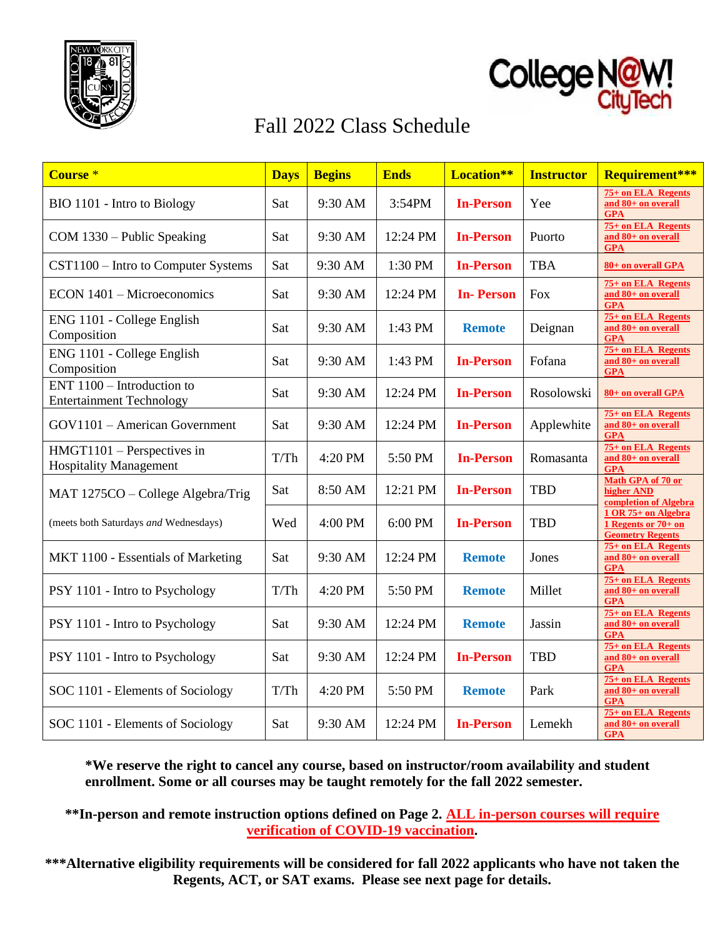



# Fall 2022 Class Schedule

| Course <sup>*</sup>                                           | <b>Days</b> | <b>Begins</b> | <b>Ends</b> | <b>Location**</b> | <b>Instructor</b> | Requirement***                                                          |
|---------------------------------------------------------------|-------------|---------------|-------------|-------------------|-------------------|-------------------------------------------------------------------------|
| BIO 1101 - Intro to Biology                                   | Sat         | 9:30 AM       | 3:54PM      | <b>In-Person</b>  | Yee               | 75+ on ELA Regents<br>and 80+ on overall<br><b>GPA</b>                  |
| COM 1330 - Public Speaking                                    | Sat         | 9:30 AM       | 12:24 PM    | <b>In-Person</b>  | Puorto            | 75+ on ELA Regents<br>and 80+ on overall<br><b>GPA</b>                  |
| CST1100 – Intro to Computer Systems                           | Sat         | 9:30 AM       | 1:30 PM     | <b>In-Person</b>  | <b>TBA</b>        | 80+ on overall GPA                                                      |
| ECON 1401 - Microeconomics                                    | Sat         | 9:30 AM       | 12:24 PM    | <b>In-Person</b>  | <b>Fox</b>        | 75+ on ELA Regents<br>and 80+ on overall<br><b>GPA</b>                  |
| ENG 1101 - College English<br>Composition                     | Sat         | 9:30 AM       | 1:43 PM     | <b>Remote</b>     | Deignan           | 75+ on ELA Regents<br>and 80+ on overall<br><b>GPA</b>                  |
| ENG 1101 - College English<br>Composition                     | Sat         | 9:30 AM       | 1:43 PM     | <b>In-Person</b>  | Fofana            | 75+ on ELA Regents<br>and 80+ on overall<br><b>GPA</b>                  |
| ENT 1100 - Introduction to<br><b>Entertainment Technology</b> | Sat         | 9:30 AM       | 12:24 PM    | <b>In-Person</b>  | Rosolowski        | 80+ on overall GPA                                                      |
| GOV1101 - American Government                                 | Sat         | 9:30 AM       | 12:24 PM    | <b>In-Person</b>  | Applewhite        | 75+ on ELA Regents<br>and 80+ on overall<br>GPA                         |
| $HMGT1101 - Perspective in$<br><b>Hospitality Management</b>  | T/Th        | 4:20 PM       | 5:50 PM     | <b>In-Person</b>  | Romasanta         | 75+ on ELA Regents<br>and 80+ on overall<br><b>GPA</b>                  |
| MAT 1275CO - College Algebra/Trig                             | Sat         | 8:50 AM       | 12:21 PM    | <b>In-Person</b>  | <b>TBD</b>        | Math GPA of 70 or<br>higher AND<br>completion of Algebra                |
| (meets both Saturdays and Wednesdays)                         | Wed         | 4:00 PM       | 6:00 PM     | <b>In-Person</b>  | <b>TBD</b>        | 1 OR 75+ on Algebra<br>1 Regents or $70+$ on<br><b>Geometry Regents</b> |
| MKT 1100 - Essentials of Marketing                            | Sat         | 9:30 AM       | 12:24 PM    | <b>Remote</b>     | Jones             | 75+ on ELA Regents<br>and 80+ on overall<br><b>GPA</b>                  |
| PSY 1101 - Intro to Psychology                                | T/Th        | 4:20 PM       | 5:50 PM     | <b>Remote</b>     | Millet            | 75+ on ELA Regents<br>and 80+ on overall<br><b>GPA</b>                  |
| PSY 1101 - Intro to Psychology                                | Sat         | 9:30 AM       | 12:24 PM    | <b>Remote</b>     | Jassin            | 75+ on ELA Regents<br>and 80+ on overall<br><b>GPA</b>                  |
| PSY 1101 - Intro to Psychology                                | Sat         | 9:30 AM       | 12:24 PM    | <b>In-Person</b>  | <b>TBD</b>        | 75+ on ELA Regents<br>and 80+ on overall<br><b>GPA</b>                  |
| SOC 1101 - Elements of Sociology                              | T/Th        | 4:20 PM       | 5:50 PM     | <b>Remote</b>     | Park              | 75+ on ELA Regents<br>and 80+ on overall<br><b>GPA</b>                  |
| SOC 1101 - Elements of Sociology                              | Sat         | 9:30 AM       | 12:24 PM    | <b>In-Person</b>  | Lemekh            | 75+ on ELA Regents<br>and 80+ on overall<br><b>GPA</b>                  |

**\*We reserve the right to cancel any course, based on instructor/room availability and student enrollment. Some or all courses may be taught remotely for the fall 2022 semester.**

**\*\*In-person and remote instruction options defined on Page 2. ALL in-person courses will require verification of COVID-19 vaccination.**

**\*\*\*Alternative eligibility requirements will be considered for fall 2022 applicants who have not taken the Regents, ACT, or SAT exams. Please see next page for details.**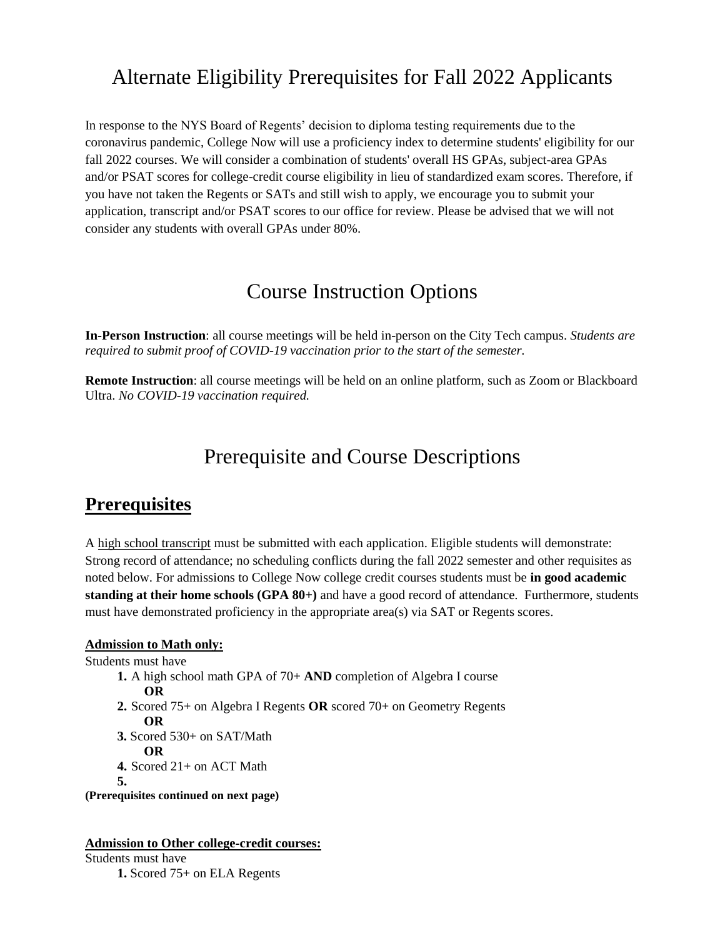# Alternate Eligibility Prerequisites for Fall 2022 Applicants

In response to the NYS Board of Regents' decision to diploma testing requirements due to the coronavirus pandemic, College Now will use a proficiency index to determine students' eligibility for our fall 2022 courses. We will consider a combination of students' overall HS GPAs, subject-area GPAs and/or PSAT scores for college-credit course eligibility in lieu of standardized exam scores. Therefore, if you have not taken the Regents or SATs and still wish to apply, we encourage you to submit your application, transcript and/or PSAT scores to our office for review. Please be advised that we will not consider any students with overall GPAs under 80%.

## Course Instruction Options

**In-Person Instruction**: all course meetings will be held in-person on the City Tech campus. *Students are required to submit proof of COVID-19 vaccination prior to the start of the semester.*

**Remote Instruction**: all course meetings will be held on an online platform, such as Zoom or Blackboard Ultra. *No COVID-19 vaccination required.*

### Prerequisite and Course Descriptions

### **Prerequisites**

A high school transcript must be submitted with each application. Eligible students will demonstrate: Strong record of attendance; no scheduling conflicts during the fall 2022 semester and other requisites as noted below. For admissions to College Now college credit courses students must be **in good academic standing at their home schools (GPA 80+)** and have a good record of attendance. Furthermore, students must have demonstrated proficiency in the appropriate area(s) via SAT or Regents scores.

#### **Admission to Math only:**

Students must have

- **1.** A high school math GPA of 70+ **AND** completion of Algebra I course **OR**
- **2.** Scored 75+ on Algebra I Regents **OR** scored 70+ on Geometry Regents
	- **OR**
- **3.** Scored 530+ on SAT/Math
	- **OR**
- **4.** Scored 21+ on ACT Math

**5.**

**(Prerequisites continued on next page)**

#### **Admission to Other college-credit courses:**

Students must have **1.** Scored 75+ on ELA Regents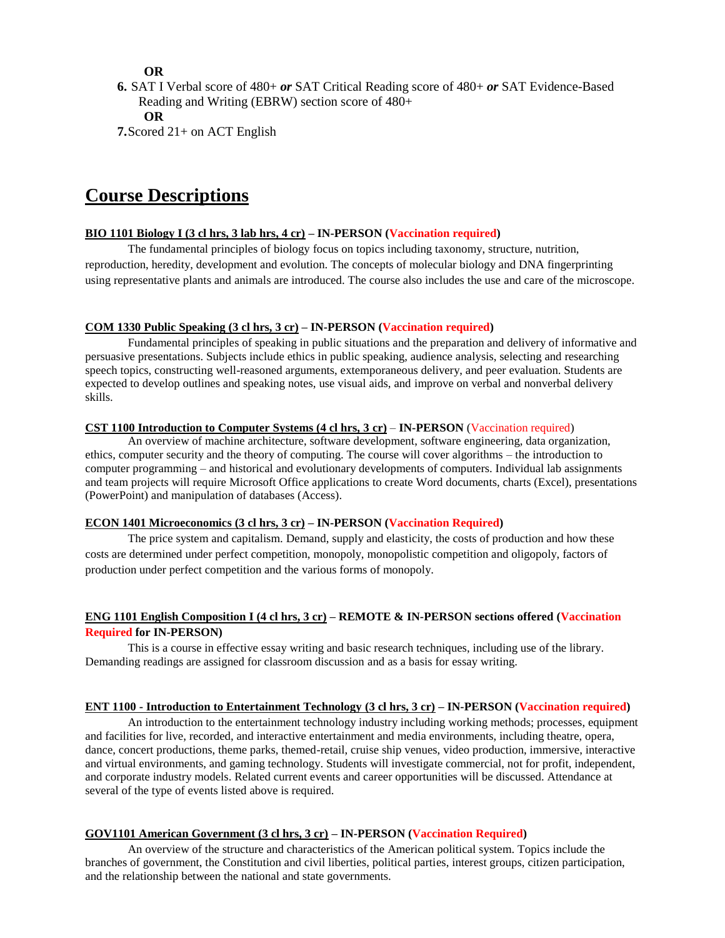**OR** 

**6.** SAT I Verbal score of 480+ *or* SAT Critical Reading score of 480+ *or* SAT Evidence-Based Reading and Writing (EBRW) section score of 480+ **OR** 

**7.**Scored 21+ on ACT English

### **Course Descriptions**

#### **BIO 1101 Biology I (3 cl hrs, 3 lab hrs, 4 cr) – IN-PERSON (Vaccination required)**

The fundamental principles of biology focus on topics including taxonomy, structure, nutrition, reproduction, heredity, development and evolution. The concepts of molecular biology and DNA fingerprinting using representative plants and animals are introduced. The course also includes the use and care of the microscope.

#### **COM 1330 Public Speaking (3 cl hrs, 3 cr) – IN-PERSON (Vaccination required)**

Fundamental principles of speaking in public situations and the preparation and delivery of informative and persuasive presentations. Subjects include ethics in public speaking, audience analysis, selecting and researching speech topics, constructing well-reasoned arguments, extemporaneous delivery, and peer evaluation. Students are expected to develop outlines and speaking notes, use visual aids, and improve on verbal and nonverbal delivery skills.

#### **CST 1100 Introduction to Computer Systems (4 cl hrs, 3 cr)** – **IN-PERSON** (Vaccination required)

An overview of machine architecture, software development, software engineering, data organization, ethics, computer security and the theory of computing. The course will cover algorithms – the introduction to computer programming – and historical and evolutionary developments of computers. Individual lab assignments and team projects will require Microsoft Office applications to create Word documents, charts (Excel), presentations (PowerPoint) and manipulation of databases (Access).

#### **ECON 1401 Microeconomics (3 cl hrs, 3 cr) – IN-PERSON (Vaccination Required)**

The price system and capitalism. Demand, supply and elasticity, the costs of production and how these costs are determined under perfect competition, monopoly, monopolistic competition and oligopoly, factors of production under perfect competition and the various forms of monopoly.

#### **ENG 1101 English Composition I (4 cl hrs, 3 cr) – REMOTE & IN-PERSON sections offered (Vaccination Required for IN-PERSON)**

This is a course in effective essay writing and basic research techniques, including use of the library. Demanding readings are assigned for classroom discussion and as a basis for essay writing.

#### **ENT 1100 - Introduction to Entertainment Technology (3 cl hrs, 3 cr) – IN-PERSON (Vaccination required)**

An introduction to the entertainment technology industry including working methods; processes, equipment and facilities for live, recorded, and interactive entertainment and media environments, including theatre, opera, dance, concert productions, theme parks, themed-retail, cruise ship venues, video production, immersive, interactive and virtual environments, and gaming technology. Students will investigate commercial, not for profit, independent, and corporate industry models. Related current events and career opportunities will be discussed. Attendance at several of the type of events listed above is required.

#### **GOV1101 American Government (3 cl hrs, 3 cr) – IN-PERSON (Vaccination Required)**

An overview of the structure and characteristics of the American political system. Topics include the branches of government, the Constitution and civil liberties, political parties, interest groups, citizen participation, and the relationship between the national and state governments.